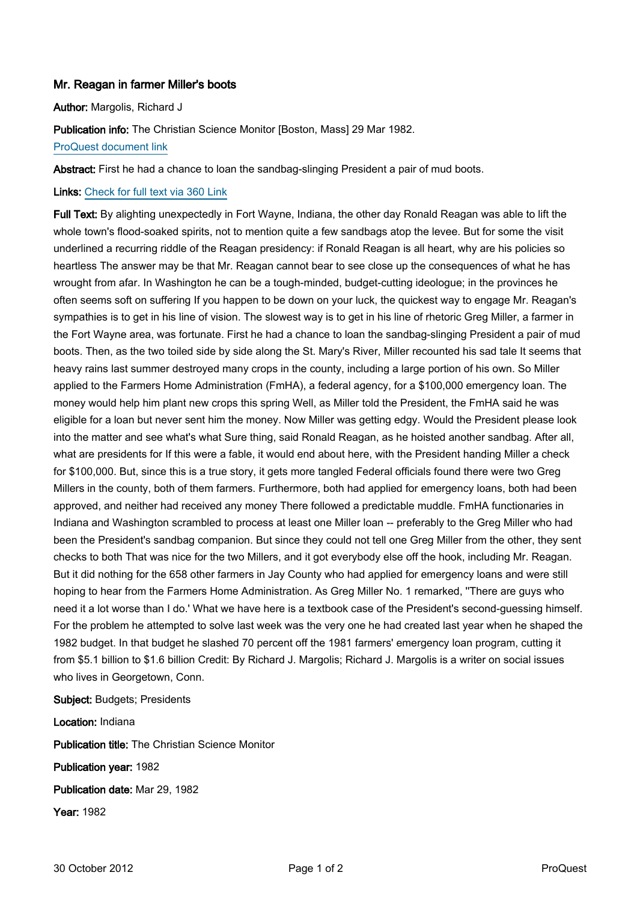## Mr. Reagan in farmer Miller's boots

Author: Margolis, Richard J

Publication info: The Christian Science Monitor [Boston, Mass] 29 Mar 1982. [ProQuest document link](http://ezproxy.lib.uconn.edu/login?url=http://search.proquest.com/docview/1038405266?accountid=14518)

Abstract: First he had a chance to loan the sandbag-slinging President a pair of mud boots.

Links: [Check for full text via 360 Link](http://TK8NJ5XN8A.search.serialssolutions.com/?ctx_ver=Z39.88-2004&ctx_enc=info:ofi/enc:UTF-8&rfr_id=info:sid/ProQ:christiansciencemonitor&rft_val_fmt=info:ofi/fmt:kev:mtx:journal&rft.genre=unknown&rft.jtitle=The%20Christian%20Science%20Monitor&rft.atitle=Mr.%20Reagan%20in%20farmer%20Miller)

Full Text: By alighting unexpectedly in Fort Wayne, Indiana, the other day Ronald Reagan was able to lift the whole town's flood-soaked spirits, not to mention quite a few sandbags atop the levee. But for some the visit underlined a recurring riddle of the Reagan presidency: if Ronald Reagan is all heart, why are his policies so heartless The answer may be that Mr. Reagan cannot bear to see close up the consequences of what he has wrought from afar. In Washington he can be a tough-minded, budget-cutting ideologue; in the provinces he often seems soft on suffering If you happen to be down on your luck, the quickest way to engage Mr. Reagan's sympathies is to get in his line of vision. The slowest way is to get in his line of rhetoric Greg Miller, a farmer in the Fort Wayne area, was fortunate. First he had a chance to loan the sandbag-slinging President a pair of mud boots. Then, as the two toiled side by side along the St. Mary's River, Miller recounted his sad tale It seems that heavy rains last summer destroyed many crops in the county, including a large portion of his own. So Miller applied to the Farmers Home Administration (FmHA), a federal agency, for a \$100,000 emergency loan. The money would help him plant new crops this spring Well, as Miller told the President, the FmHA said he was eligible for a loan but never sent him the money. Now Miller was getting edgy. Would the President please look into the matter and see what's what Sure thing, said Ronald Reagan, as he hoisted another sandbag. After all, what are presidents for If this were a fable, it would end about here, with the President handing Miller a check for \$100,000. But, since this is a true story, it gets more tangled Federal officials found there were two Greg Millers in the county, both of them farmers. Furthermore, both had applied for emergency loans, both had been approved, and neither had received any money There followed a predictable muddle. FmHA functionaries in Indiana and Washington scrambled to process at least one Miller loan -- preferably to the Greg Miller who had been the President's sandbag companion. But since they could not tell one Greg Miller from the other, they sent checks to both That was nice for the two Millers, and it got everybody else off the hook, including Mr. Reagan. But it did nothing for the 658 other farmers in Jay County who had applied for emergency loans and were still hoping to hear from the Farmers Home Administration. As Greg Miller No. 1 remarked, "There are guys who need it a lot worse than I do.' What we have here is a textbook case of the President's second-guessing himself. For the problem he attempted to solve last week was the very one he had created last year when he shaped the 1982 budget. In that budget he slashed 70 percent off the 1981 farmers' emergency loan program, cutting it from \$5.1 billion to \$1.6 billion Credit: By Richard J. Margolis; Richard J. Margolis is a writer on social issues who lives in Georgetown, Conn.

Subject: Budgets; Presidents

Location: Indiana Publication title: The Christian Science Monitor Publication year: 1982 Publication date: Mar 29, 1982 Year: 1982